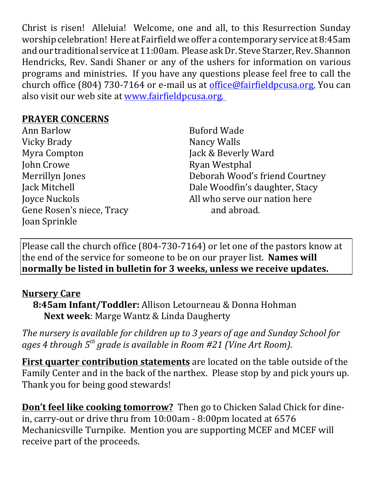Christ is risen! Alleluia! Welcome, one and all, to this Resurrection Sunday worship celebration! Here at Fairfield we offer a contemporary service at 8:45am and our traditional service at 11:00am. Please ask Dr. Steve Starzer, Rev. Shannon Hendricks, Rev. Sandi Shaner or any of the ushers for information on various programs and ministries. If you have any questions please feel free to call the church office (804) 730-7164 or e-mail us at *office@fairfieldpcusa.org*. You can also visit our web site at www.fairfieldpcusa.org.

## **PRAYER CONCERNS**

Ann Barlow Vicky Brady Myra Compton John Crowe Merrillyn Jones Jack Mitchell Joyce Nuckols Gene Rosen's niece, Tracy Joan Sprinkle

Buford Wade Nancy Walls Jack & Beverly Ward Ryan Westphal Deborah Wood's friend Courtney Dale Woodfin's daughter, Stacy All who serve our nation here and abroad.

Please call the church office (804-730-7164) or let one of the pastors know at the end of the service for someone to be on our prayer list. **Names will normally be listed in bulletin for 3 weeks, unless we receive updates.**

## **Nursery Care**

**8:45am Infant/Toddler:** Allison Letourneau & Donna Hohman **Next week**: Marge Wantz & Linda Daugherty

*The nursery is available for children up to 3 years of age and Sunday School for ages 4 through 5th grade is available in Room #21 (Vine Art Room).*

**First quarter contribution statements** are located on the table outside of the Family Center and in the back of the narthex. Please stop by and pick yours up. Thank you for being good stewards!

**Don't feel like cooking tomorrow?** Then go to Chicken Salad Chick for dinein, carry-out or drive thru from 10:00am - 8:00pm located at 6576 Mechanicsville Turnpike. Mention you are supporting MCEF and MCEF will receive part of the proceeds.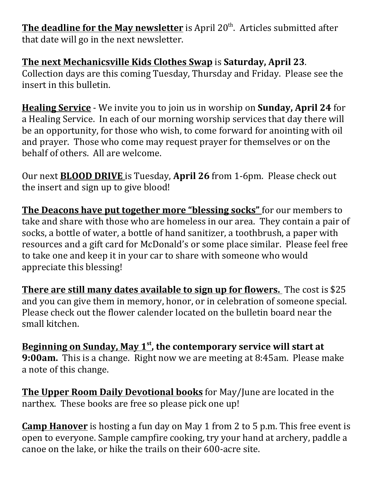**The deadline for the May newsletter** is April 20<sup>th</sup>. Articles submitted after that date will go in the next newsletter.

## **The next Mechanicsville Kids Clothes Swap** is **Saturday, April 23**.

Collection days are this coming Tuesday, Thursday and Friday. Please see the insert in this bulletin.

**Healing Service** - We invite you to join us in worship on **Sunday, April 24** for a Healing Service. In each of our morning worship services that day there will be an opportunity, for those who wish, to come forward for anointing with oil and prayer. Those who come may request prayer for themselves or on the behalf of others. All are welcome.

Our next **BLOOD DRIVE** is Tuesday, **April 26** from 1-6pm. Please check out the insert and sign up to give blood!

**The Deacons have put together more "blessing socks"** for our members to take and share with those who are homeless in our area. They contain a pair of socks, a bottle of water, a bottle of hand sanitizer, a toothbrush, a paper with resources and a gift card for McDonald's or some place similar. Please feel free to take one and keep it in your car to share with someone who would appreciate this blessing!

**There are still many dates available to sign up for flowers.** The cost is \$25 and you can give them in memory, honor, or in celebration of someone special. Please check out the flower calender located on the bulletin board near the small kitchen.

**Beginning on Sunday, May 1st , the contemporary service will start at 9:00am.** This is a change. Right now we are meeting at 8:45am. Please make a note of this change.

**The Upper Room Daily Devotional books** for May/June are located in the narthex. These books are free so please pick one up!

**Camp Hanover** is hosting a fun day on May 1 from 2 to 5 p.m. This free event is open to everyone. Sample campfire cooking, try your hand at archery, paddle a canoe on the lake, or hike the trails on their 600-acre site.